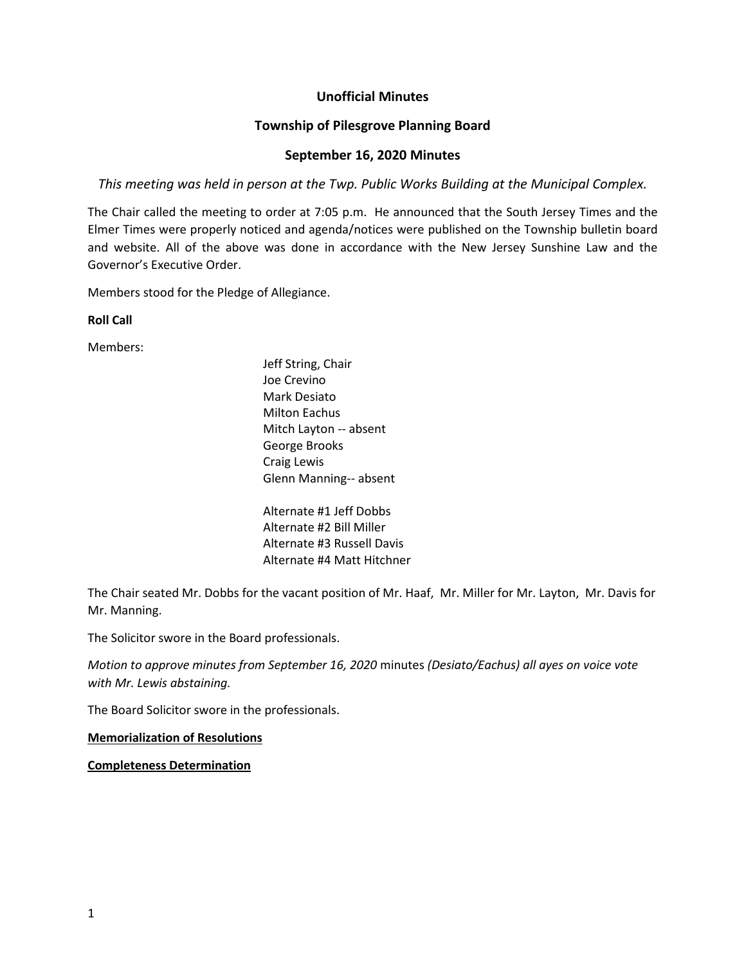# **Unofficial Minutes**

## **Township of Pilesgrove Planning Board**

### **September 16, 2020 Minutes**

*This meeting was held in person at the Twp. Public Works Building at the Municipal Complex.*

The Chair called the meeting to order at 7:05 p.m. He announced that the South Jersey Times and the Elmer Times were properly noticed and agenda/notices were published on the Township bulletin board and website. All of the above was done in accordance with the New Jersey Sunshine Law and the Governor's Executive Order.

Members stood for the Pledge of Allegiance.

**Roll Call**

Members:

Jeff String, Chair Joe Crevino Mark Desiato Milton Eachus Mitch Layton -- absent George Brooks Craig Lewis Glenn Manning-- absent

Alternate #1 Jeff Dobbs Alternate #2 Bill Miller Alternate #3 Russell Davis Alternate #4 Matt Hitchner

The Chair seated Mr. Dobbs for the vacant position of Mr. Haaf, Mr. Miller for Mr. Layton, Mr. Davis for Mr. Manning.

The Solicitor swore in the Board professionals.

*Motion to approve minutes from September 16, 2020* minutes *(Desiato/Eachus) all ayes on voice vote with Mr. Lewis abstaining.*

The Board Solicitor swore in the professionals.

**Memorialization of Resolutions**

**Completeness Determination**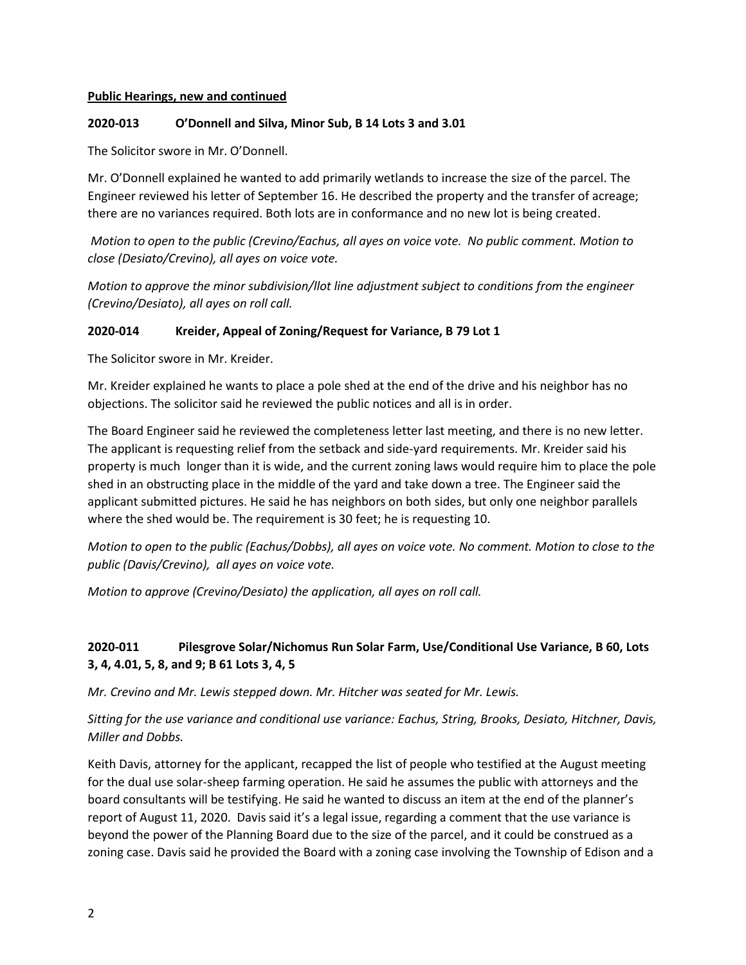#### **Public Hearings, new and continued**

#### **2020-013 O'Donnell and Silva, Minor Sub, B 14 Lots 3 and 3.01**

The Solicitor swore in Mr. O'Donnell.

Mr. O'Donnell explained he wanted to add primarily wetlands to increase the size of the parcel. The Engineer reviewed his letter of September 16. He described the property and the transfer of acreage; there are no variances required. Both lots are in conformance and no new lot is being created.

*Motion to open to the public (Crevino/Eachus, all ayes on voice vote. No public comment. Motion to close (Desiato/Crevino), all ayes on voice vote.*

*Motion to approve the minor subdivision/llot line adjustment subject to conditions from the engineer (Crevino/Desiato), all ayes on roll call.*

#### **2020-014 Kreider, Appeal of Zoning/Request for Variance, B 79 Lot 1**

The Solicitor swore in Mr. Kreider.

Mr. Kreider explained he wants to place a pole shed at the end of the drive and his neighbor has no objections. The solicitor said he reviewed the public notices and all is in order.

The Board Engineer said he reviewed the completeness letter last meeting, and there is no new letter. The applicant is requesting relief from the setback and side-yard requirements. Mr. Kreider said his property is much longer than it is wide, and the current zoning laws would require him to place the pole shed in an obstructing place in the middle of the yard and take down a tree. The Engineer said the applicant submitted pictures. He said he has neighbors on both sides, but only one neighbor parallels where the shed would be. The requirement is 30 feet; he is requesting 10.

*Motion to open to the public (Eachus/Dobbs), all ayes on voice vote. No comment. Motion to close to the public (Davis/Crevino), all ayes on voice vote.*

*Motion to approve (Crevino/Desiato) the application, all ayes on roll call.* 

# **2020-011 Pilesgrove Solar/Nichomus Run Solar Farm, Use/Conditional Use Variance, B 60, Lots 3, 4, 4.01, 5, 8, and 9; B 61 Lots 3, 4, 5**

*Mr. Crevino and Mr. Lewis stepped down. Mr. Hitcher was seated for Mr. Lewis.*

*Sitting for the use variance and conditional use variance: Eachus, String, Brooks, Desiato, Hitchner, Davis, Miller and Dobbs.* 

Keith Davis, attorney for the applicant, recapped the list of people who testified at the August meeting for the dual use solar-sheep farming operation. He said he assumes the public with attorneys and the board consultants will be testifying. He said he wanted to discuss an item at the end of the planner's report of August 11, 2020. Davis said it's a legal issue, regarding a comment that the use variance is beyond the power of the Planning Board due to the size of the parcel, and it could be construed as a zoning case. Davis said he provided the Board with a zoning case involving the Township of Edison and a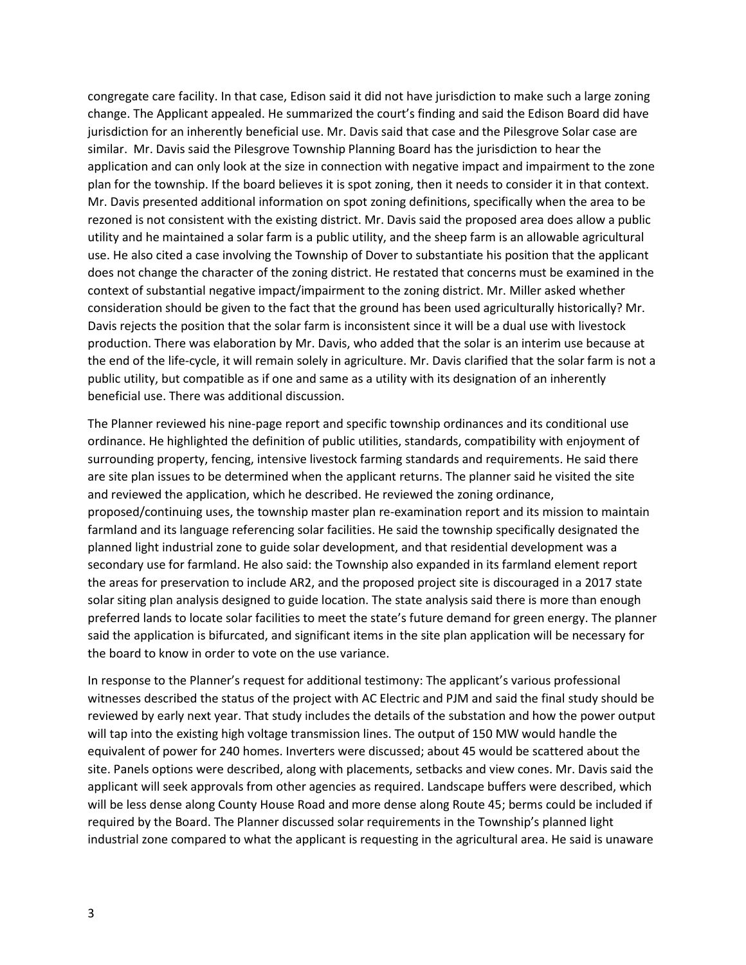congregate care facility. In that case, Edison said it did not have jurisdiction to make such a large zoning change. The Applicant appealed. He summarized the court's finding and said the Edison Board did have jurisdiction for an inherently beneficial use. Mr. Davis said that case and the Pilesgrove Solar case are similar. Mr. Davis said the Pilesgrove Township Planning Board has the jurisdiction to hear the application and can only look at the size in connection with negative impact and impairment to the zone plan for the township. If the board believes it is spot zoning, then it needs to consider it in that context. Mr. Davis presented additional information on spot zoning definitions, specifically when the area to be rezoned is not consistent with the existing district. Mr. Davis said the proposed area does allow a public utility and he maintained a solar farm is a public utility, and the sheep farm is an allowable agricultural use. He also cited a case involving the Township of Dover to substantiate his position that the applicant does not change the character of the zoning district. He restated that concerns must be examined in the context of substantial negative impact/impairment to the zoning district. Mr. Miller asked whether consideration should be given to the fact that the ground has been used agriculturally historically? Mr. Davis rejects the position that the solar farm is inconsistent since it will be a dual use with livestock production. There was elaboration by Mr. Davis, who added that the solar is an interim use because at the end of the life-cycle, it will remain solely in agriculture. Mr. Davis clarified that the solar farm is not a public utility, but compatible as if one and same as a utility with its designation of an inherently beneficial use. There was additional discussion.

The Planner reviewed his nine-page report and specific township ordinances and its conditional use ordinance. He highlighted the definition of public utilities, standards, compatibility with enjoyment of surrounding property, fencing, intensive livestock farming standards and requirements. He said there are site plan issues to be determined when the applicant returns. The planner said he visited the site and reviewed the application, which he described. He reviewed the zoning ordinance, proposed/continuing uses, the township master plan re-examination report and its mission to maintain farmland and its language referencing solar facilities. He said the township specifically designated the planned light industrial zone to guide solar development, and that residential development was a secondary use for farmland. He also said: the Township also expanded in its farmland element report the areas for preservation to include AR2, and the proposed project site is discouraged in a 2017 state solar siting plan analysis designed to guide location. The state analysis said there is more than enough preferred lands to locate solar facilities to meet the state's future demand for green energy. The planner said the application is bifurcated, and significant items in the site plan application will be necessary for the board to know in order to vote on the use variance.

In response to the Planner's request for additional testimony: The applicant's various professional witnesses described the status of the project with AC Electric and PJM and said the final study should be reviewed by early next year. That study includes the details of the substation and how the power output will tap into the existing high voltage transmission lines. The output of 150 MW would handle the equivalent of power for 240 homes. Inverters were discussed; about 45 would be scattered about the site. Panels options were described, along with placements, setbacks and view cones. Mr. Davis said the applicant will seek approvals from other agencies as required. Landscape buffers were described, which will be less dense along County House Road and more dense along Route 45; berms could be included if required by the Board. The Planner discussed solar requirements in the Township's planned light industrial zone compared to what the applicant is requesting in the agricultural area. He said is unaware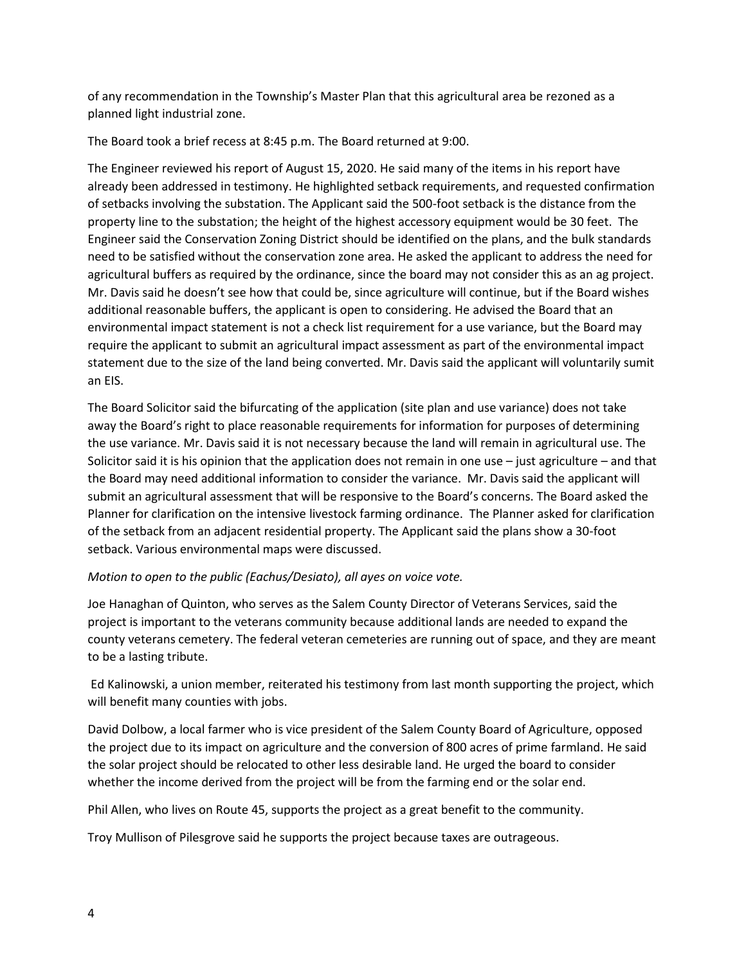of any recommendation in the Township's Master Plan that this agricultural area be rezoned as a planned light industrial zone.

The Board took a brief recess at 8:45 p.m. The Board returned at 9:00.

The Engineer reviewed his report of August 15, 2020. He said many of the items in his report have already been addressed in testimony. He highlighted setback requirements, and requested confirmation of setbacks involving the substation. The Applicant said the 500-foot setback is the distance from the property line to the substation; the height of the highest accessory equipment would be 30 feet. The Engineer said the Conservation Zoning District should be identified on the plans, and the bulk standards need to be satisfied without the conservation zone area. He asked the applicant to address the need for agricultural buffers as required by the ordinance, since the board may not consider this as an ag project. Mr. Davis said he doesn't see how that could be, since agriculture will continue, but if the Board wishes additional reasonable buffers, the applicant is open to considering. He advised the Board that an environmental impact statement is not a check list requirement for a use variance, but the Board may require the applicant to submit an agricultural impact assessment as part of the environmental impact statement due to the size of the land being converted. Mr. Davis said the applicant will voluntarily sumit an EIS.

The Board Solicitor said the bifurcating of the application (site plan and use variance) does not take away the Board's right to place reasonable requirements for information for purposes of determining the use variance. Mr. Davis said it is not necessary because the land will remain in agricultural use. The Solicitor said it is his opinion that the application does not remain in one use – just agriculture – and that the Board may need additional information to consider the variance. Mr. Davis said the applicant will submit an agricultural assessment that will be responsive to the Board's concerns. The Board asked the Planner for clarification on the intensive livestock farming ordinance. The Planner asked for clarification of the setback from an adjacent residential property. The Applicant said the plans show a 30-foot setback. Various environmental maps were discussed.

# *Motion to open to the public (Eachus/Desiato), all ayes on voice vote.*

Joe Hanaghan of Quinton, who serves as the Salem County Director of Veterans Services, said the project is important to the veterans community because additional lands are needed to expand the county veterans cemetery. The federal veteran cemeteries are running out of space, and they are meant to be a lasting tribute.

Ed Kalinowski, a union member, reiterated his testimony from last month supporting the project, which will benefit many counties with jobs.

David Dolbow, a local farmer who is vice president of the Salem County Board of Agriculture, opposed the project due to its impact on agriculture and the conversion of 800 acres of prime farmland. He said the solar project should be relocated to other less desirable land. He urged the board to consider whether the income derived from the project will be from the farming end or the solar end.

Phil Allen, who lives on Route 45, supports the project as a great benefit to the community.

Troy Mullison of Pilesgrove said he supports the project because taxes are outrageous.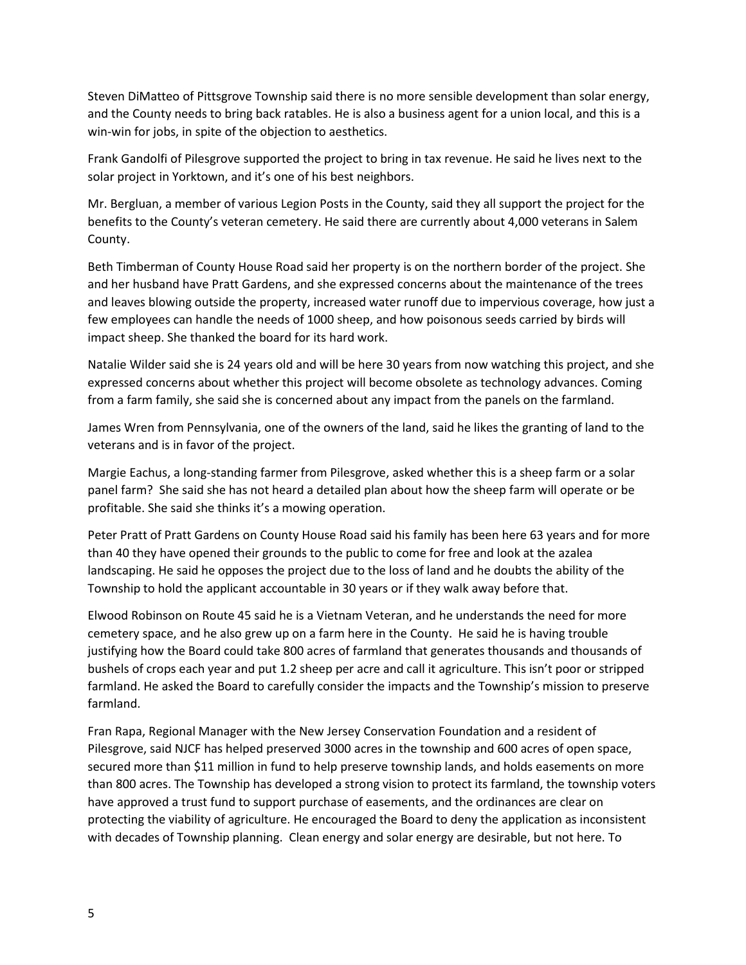Steven DiMatteo of Pittsgrove Township said there is no more sensible development than solar energy, and the County needs to bring back ratables. He is also a business agent for a union local, and this is a win-win for jobs, in spite of the objection to aesthetics.

Frank Gandolfi of Pilesgrove supported the project to bring in tax revenue. He said he lives next to the solar project in Yorktown, and it's one of his best neighbors.

Mr. Bergluan, a member of various Legion Posts in the County, said they all support the project for the benefits to the County's veteran cemetery. He said there are currently about 4,000 veterans in Salem County.

Beth Timberman of County House Road said her property is on the northern border of the project. She and her husband have Pratt Gardens, and she expressed concerns about the maintenance of the trees and leaves blowing outside the property, increased water runoff due to impervious coverage, how just a few employees can handle the needs of 1000 sheep, and how poisonous seeds carried by birds will impact sheep. She thanked the board for its hard work.

Natalie Wilder said she is 24 years old and will be here 30 years from now watching this project, and she expressed concerns about whether this project will become obsolete as technology advances. Coming from a farm family, she said she is concerned about any impact from the panels on the farmland.

James Wren from Pennsylvania, one of the owners of the land, said he likes the granting of land to the veterans and is in favor of the project.

Margie Eachus, a long-standing farmer from Pilesgrove, asked whether this is a sheep farm or a solar panel farm? She said she has not heard a detailed plan about how the sheep farm will operate or be profitable. She said she thinks it's a mowing operation.

Peter Pratt of Pratt Gardens on County House Road said his family has been here 63 years and for more than 40 they have opened their grounds to the public to come for free and look at the azalea landscaping. He said he opposes the project due to the loss of land and he doubts the ability of the Township to hold the applicant accountable in 30 years or if they walk away before that.

Elwood Robinson on Route 45 said he is a Vietnam Veteran, and he understands the need for more cemetery space, and he also grew up on a farm here in the County. He said he is having trouble justifying how the Board could take 800 acres of farmland that generates thousands and thousands of bushels of crops each year and put 1.2 sheep per acre and call it agriculture. This isn't poor or stripped farmland. He asked the Board to carefully consider the impacts and the Township's mission to preserve farmland.

Fran Rapa, Regional Manager with the New Jersey Conservation Foundation and a resident of Pilesgrove, said NJCF has helped preserved 3000 acres in the township and 600 acres of open space, secured more than \$11 million in fund to help preserve township lands, and holds easements on more than 800 acres. The Township has developed a strong vision to protect its farmland, the township voters have approved a trust fund to support purchase of easements, and the ordinances are clear on protecting the viability of agriculture. He encouraged the Board to deny the application as inconsistent with decades of Township planning. Clean energy and solar energy are desirable, but not here. To